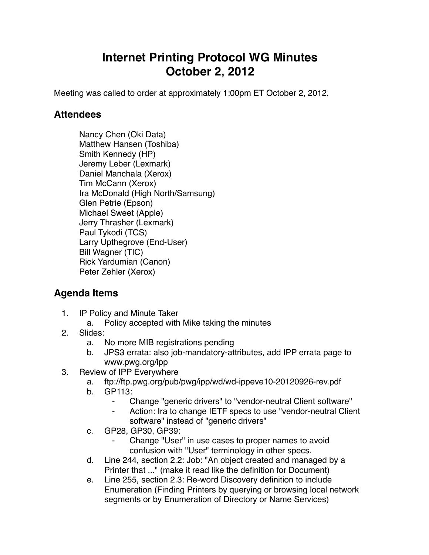## **Internet Printing Protocol WG Minutes October 2, 2012**

Meeting was called to order at approximately 1:00pm ET October 2, 2012.

## **Attendees**

Nancy Chen (Oki Data) Matthew Hansen (Toshiba) Smith Kennedy (HP) Jeremy Leber (Lexmark) Daniel Manchala (Xerox) Tim McCann (Xerox) Ira McDonald (High North/Samsung) Glen Petrie (Epson) Michael Sweet (Apple) Jerry Thrasher (Lexmark) Paul Tykodi (TCS) Larry Upthegrove (End-User) Bill Wagner (TIC) Rick Yardumian (Canon) Peter Zehler (Xerox)

## **Agenda Items**

- 1. IP Policy and Minute Taker
	- a. Policy accepted with Mike taking the minutes
- 2. Slides:
	- a. No more MIB registrations pending
	- b. JPS3 errata: also job-mandatory-attributes, add IPP errata page to www.pwg.org/ipp
- 3. Review of IPP Everywhere
	- a. ftp://ftp.pwg.org/pub/pwg/ipp/wd/wd-ippeve10-20120926-rev.pdf
	- b. GP113:
		- ⁃ Change "generic drivers" to "vendor-neutral Client software"
		- Action: Ira to change IETF specs to use "vendor-neutral Client" software" instead of "generic drivers"
	- c. GP28, GP30, GP39:
		- Change "User" in use cases to proper names to avoid confusion with "User" terminology in other specs.
	- d. Line 244, section 2.2: Job: "An object created and managed by a Printer that ..." (make it read like the definition for Document)
	- e. Line 255, section 2.3: Re-word Discovery definition to include Enumeration (Finding Printers by querying or browsing local network segments or by Enumeration of Directory or Name Services)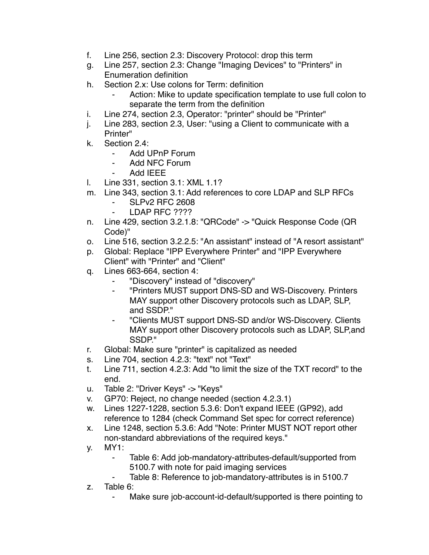- f. Line 256, section 2.3: Discovery Protocol: drop this term
- g. Line 257, section 2.3: Change "Imaging Devices" to "Printers" in Enumeration definition
- h. Section 2.x: Use colons for Term: definition
	- Action: Mike to update specification template to use full colon to separate the term from the definition
- i. Line 274, section 2.3, Operator: "printer" should be "Printer"
- j. Line 283, section 2.3, User: "using a Client to communicate with a Printer"
- k. Section 2.4:
	- ⁃ Add UPnP Forum
	- Add NFC Forum
	- ⁃ Add IEEE
- l. Line 331, section 3.1: XML 1.1?
- m. Line 343, section 3.1: Add references to core LDAP and SLP RFCs
	- ⁃ SLPv2 RFC 2608
	- ⁃ LDAP RFC ????
- n. Line 429, section 3.2.1.8: "QRCode" -> "Quick Response Code (QR Code)"
- o. Line 516, section 3.2.2.5: "An assistant" instead of "A resort assistant"
- p. Global: Replace "IPP Everywhere Printer" and "IPP Everywhere Client" with "Printer" and "Client"
- q. Lines 663-664, section 4:
	- ⁃ "Discovery" instead of "discovery"
	- ⁃ "Printers MUST support DNS-SD and WS-Discovery. Printers MAY support other Discovery protocols such as LDAP, SLP, and SSDP."
	- ⁃ "Clients MUST support DNS-SD and/or WS-Discovery. Clients MAY support other Discovery protocols such as LDAP, SLP,and SSDP."
- r. Global: Make sure "printer" is capitalized as needed
- s. Line 704, section 4.2.3: "text" not "Text"
- t. Line 711, section 4.2.3: Add "to limit the size of the TXT record" to the end.
- u. Table 2: "Driver Keys" -> "Keys"
- v. GP70: Reject, no change needed (section 4.2.3.1)
- w. Lines 1227-1228, section 5.3.6: Don't expand IEEE (GP92), add reference to 1284 (check Command Set spec for correct reference)
- x. Line 1248, section 5.3.6: Add "Note: Printer MUST NOT report other non-standard abbreviations of the required keys."
- y. MY1:
	- ⁃ Table 6: Add job-mandatory-attributes-default/supported from 5100.7 with note for paid imaging services
	- Table 8: Reference to job-mandatory-attributes is in 5100.7
- z. Table 6:
	- ⁃ Make sure job-account-id-default/supported is there pointing to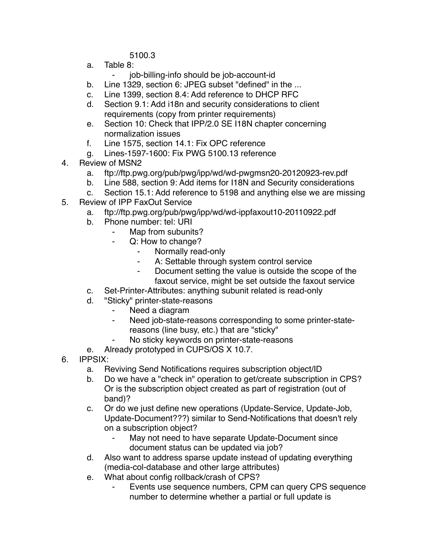5100.3

- a. Table 8:
	- ⁃ job-billing-info should be job-account-id
- b. Line 1329, section 6: JPEG subset "defined" in the ...
- c. Line 1399, section 8.4: Add reference to DHCP RFC
- d. Section 9.1: Add i18n and security considerations to client requirements (copy from printer requirements)
- e. Section 10: Check that IPP/2.0 SE I18N chapter concerning normalization issues
- f. Line 1575, section 14.1: Fix OPC reference
- g. Lines-1597-1600: Fix PWG 5100.13 reference
- 4. Review of MSN2
	- a. ftp://ftp.pwg.org/pub/pwg/ipp/wd/wd-pwgmsn20-20120923-rev.pdf
	- b. Line 588, section 9: Add items for I18N and Security considerations
	- c. Section 15.1: Add reference to 5198 and anything else we are missing
- 5. Review of IPP FaxOut Service
	- a. ftp://ftp.pwg.org/pub/pwg/ipp/wd/wd-ippfaxout10-20110922.pdf
	- b. Phone number: tel: URI
		- Map from subunits?
		- ⁃ Q: How to change?
			- Normally read-only
			- ⁃ A: Settable through system control service
			- ⁃ Document setting the value is outside the scope of the faxout service, might be set outside the faxout service
	- c. Set-Printer-Attributes: anything subunit related is read-only
	- d. "Sticky" printer-state-reasons
		- Need a diagram
		- ⁃ Need job-state-reasons corresponding to some printer-statereasons (line busy, etc.) that are "sticky"
		- No sticky keywords on printer-state-reasons
	- e. Already prototyped in CUPS/OS X 10.7.
- 6. IPPSIX:
	- a. Reviving Send Notifications requires subscription object/ID
	- b. Do we have a "check in" operation to get/create subscription in CPS? Or is the subscription object created as part of registration (out of band)?
	- c. Or do we just define new operations (Update-Service, Update-Job, Update-Document???) similar to Send-Notifications that doesn't rely on a subscription object?
		- May not need to have separate Update-Document since document status can be updated via job?
	- d. Also want to address sparse update instead of updating everything (media-col-database and other large attributes)
	- e. What about config rollback/crash of CPS?
		- ⁃ Events use sequence numbers, CPM can query CPS sequence number to determine whether a partial or full update is